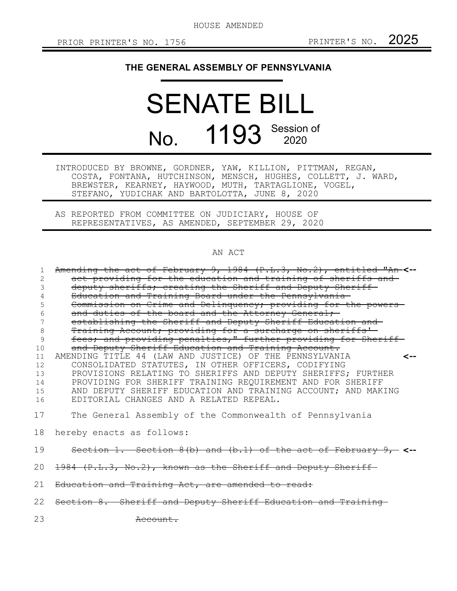HOUSE AMENDED

## **THE GENERAL ASSEMBLY OF PENNSYLVANIA**

## SENATE BILL No. 1193 Session of

INTRODUCED BY BROWNE, GORDNER, YAW, KILLION, PITTMAN, REGAN, COSTA, FONTANA, HUTCHINSON, MENSCH, HUGHES, COLLETT, J. WARD, BREWSTER, KEARNEY, HAYWOOD, MUTH, TARTAGLIONE, VOGEL, STEFANO, YUDICHAK AND BARTOLOTTA, JUNE 8, 2020

AS REPORTED FROM COMMITTEE ON JUDICIARY, HOUSE OF REPRESENTATIVES, AS AMENDED, SEPTEMBER 29, 2020

## AN ACT

| 1  | Amending the act of February 9, 1984 (P.L.3, No.2), entitled "An-<-- |
|----|----------------------------------------------------------------------|
| 2  | act providing for the education and training of sheriffs and-        |
| 3  | deputy sheriffs; creating the Sheriff and Deputy Sheriff-            |
| 4  | Education and Training Board under the Pennsylvania-                 |
| 5  | Commission on Crime and Delinquency; providing for the powers-       |
|    | and duties of the board and the Attorney General;                    |
| 7  | establishing the Sheriff and Deputy Sheriff Education and            |
| 8  | Training Account; providing for a surcharge on sheriffs'-            |
| 9  | fees; and providing penalties," further providing for Sheriff-       |
| 10 | and Deputy Sheriff Education and Training Account.                   |
| 11 | AMENDING TITLE 44 (LAW AND JUSTICE) OF THE PENNSYLVANIA<br><--       |
| 12 | CONSOLIDATED STATUTES, IN OTHER OFFICERS, CODIFYING                  |
| 13 | PROVISIONS RELATING TO SHERIFFS AND DEPUTY SHERIFFS; FURTHER         |
| 14 | PROVIDING FOR SHERIFF TRAINING REQUIREMENT AND FOR SHERIFF           |
| 15 | AND DEPUTY SHERIFF EDUCATION AND TRAINING ACCOUNT; AND MAKING        |
| 16 | EDITORIAL CHANGES AND A RELATED REPEAL.                              |
| 17 | The General Assembly of the Commonwealth of Pennsylvania             |
|    | 18 hereby enacts as follows:                                         |
| 19 | Section 1. Section 8(b) and (b.1) of the act of February $9$ , <-    |
| 20 | 1984 (P.L.3, No.2), known as the Sheriff and Deputy Sheriff          |
| 21 | Education and Training Act, are amended to read:                     |
|    | 22 Section 8. Sheriff and Deputy Sheriff Education and Training      |
| 23 | <del>Account.</del>                                                  |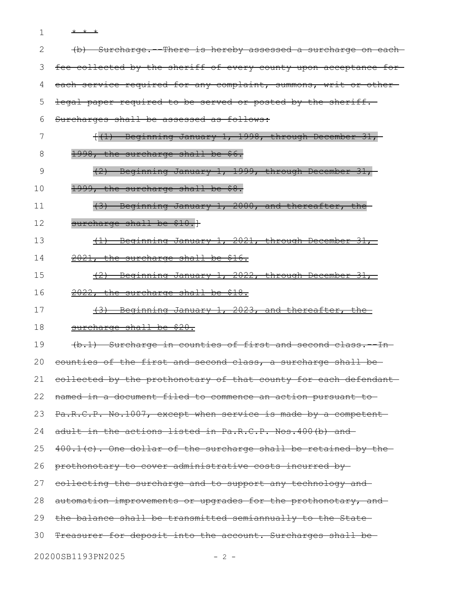1 \* \* \*

| 2  | (b) Surcharge. There is hereby assessed a surcharge on each       |
|----|-------------------------------------------------------------------|
| 3  | fee collected by the sheriff of every county upon acceptance for- |
| 4  | each service required for any complaint, summons, writ or other-  |
| 5  | legal paper required to be served or posted by the sheriff.       |
| 6  | Surcharges shall be assessed as follows:                          |
| 7  | ((1) Beginning January 1, 1998, through December 31,              |
| 8  | 1998, the surcharge shall be \$6.                                 |
| 9  | $(2)$ Beginning January 1, 1999, through December 31,             |
| 10 | 1999, the surcharge shall be \$8.                                 |
| 11 | (3) Beginning January 1, 2000, and thereafter, the                |
| 12 | surcharge shall be \$10.}                                         |
| 13 | $(1)$ Beginning January 1, 2021, through December 31,             |
| 14 | 2021, the surcharge shall be \$16.                                |
| 15 | (2) Beginning January 1, 2022, through December 31,               |
| 16 | 2022, the surcharge shall be \$18.                                |
| 17 | (3) Beginning January 1, 2023, and thereafter, the                |
| 18 | surcharge shall be \$20.                                          |
| 19 | (b.1) Surcharge in counties of first and second class. - In-      |
| 20 | counties of the first and second class, a surcharge shall be-     |
| 21 | collected by the prothonotary of that county for each defendant-  |
| 22 | named in a document filed to commence an action pursuant to-      |
| 23 | Pa.R.C.P. No.1007, except when service is made by a competent     |
| 24 | adult in the actions listed in Pa.R.C.P. Nos.400(b) and           |
| 25 | $400.1(c)$ . One dollar of the surcharge shall be retained by the |
| 26 | prothonotary to cover administrative costs incurred by            |
| 27 | collecting the surcharge and to support any technology and        |
| 28 | automation improvements or upgrades for the prothonotary, and     |
| 29 | the balance shall be transmitted semiannually to the State-       |
| 30 | Treasurer for deposit into the account. Surcharges shall be-      |
|    |                                                                   |

20200SB1193PN2025 - 2 -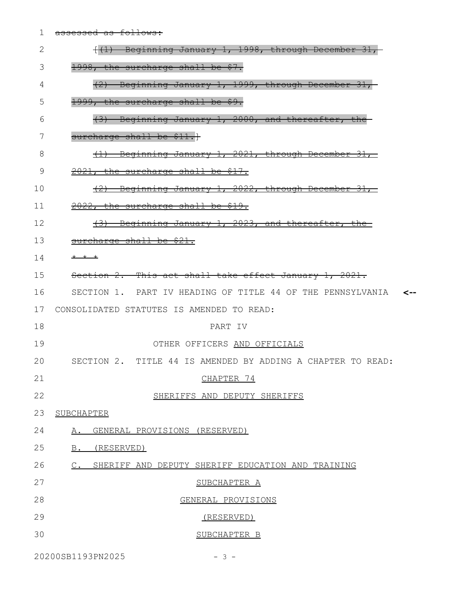| 1  | assessed as follows:                                           |
|----|----------------------------------------------------------------|
| 2  | f(1) Beginning January 1, 1998, through December 31,           |
| 3  | 1998, the surcharge shall be \$7.                              |
| 4  | (2) Beginning January 1, 1999, through December 31,            |
| 5  | 1999, the surcharge shall be \$9.                              |
| 6  | (3) Beginning January 1, 2000, and thereafter, the             |
| 7  | surcharge shall be \$11.}                                      |
| 8  | (1) Beginning January 1, 2021, through December 31,            |
| 9  | $2021$ , the surcharge shall be \$17.                          |
| 10 | (2) Beginning January 1, 2022, through December 31,            |
| 11 | 2022, the surcharge shall be \$19.                             |
| 12 | (3) Beginning January 1, 2023, and thereafter, the             |
| 13 | surcharge shall be \$21.                                       |
| 14 | $+$ $+$ $+$                                                    |
| 15 | Section 2. This act shall take effect January 1, 2021.         |
| 16 | SECTION 1. PART IV HEADING OF TITLE 44 OF THE PENNSYLVANIA <-- |
| 17 | CONSOLIDATED STATUTES IS AMENDED TO READ:                      |
| 18 | PART IV                                                        |
| 19 | OTHER OFFICERS AND OFFICIALS                                   |
| 20 | SECTION 2. TITLE 44 IS AMENDED BY ADDING A CHAPTER TO READ:    |
| 21 | CHAPTER 74                                                     |
| 22 | SHERIFFS AND DEPUTY SHERIFFS                                   |
| 23 | SUBCHAPTER                                                     |
| 24 | GENERAL PROVISIONS (RESERVED)<br>Α.                            |
| 25 | B. (RESERVED)                                                  |
| 26 | C. SHERIFF AND DEPUTY SHERIFF EDUCATION AND TRAINING           |
| 27 | SUBCHAPTER A                                                   |
| 28 | GENERAL PROVISIONS                                             |
| 29 | (RESERVED)                                                     |
| 30 | SUBCHAPTER B                                                   |
|    |                                                                |

20200SB1193PN2025 - 3 -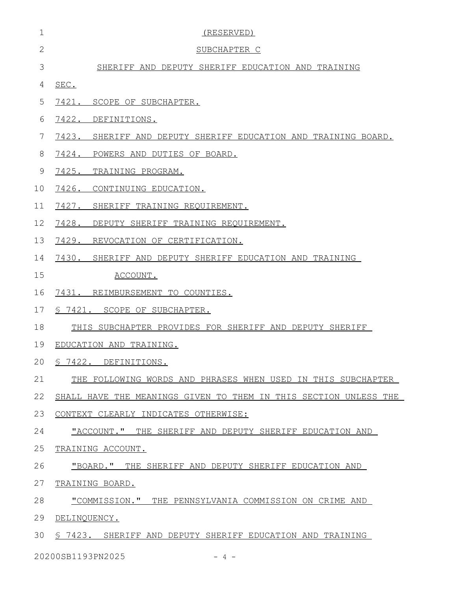| $\mathbf 1$  | (RESERVED)                                                       |
|--------------|------------------------------------------------------------------|
| $\mathbf{2}$ | SUBCHAPTER C                                                     |
| 3            | SHERIFF AND DEPUTY SHERIFF EDUCATION AND TRAINING                |
| 4            | SEC.                                                             |
| 5            | 7421. SCOPE OF SUBCHAPTER.                                       |
| 6            | 7422. DEFINITIONS.                                               |
| 7            | 7423. SHERIFF AND DEPUTY SHERIFF EDUCATION AND TRAINING BOARD.   |
| 8            | 7424. POWERS AND DUTIES OF BOARD.                                |
| 9            | 7425.<br>TRAINING PROGRAM.                                       |
| 10           | 7426.<br>CONTINUING EDUCATION.                                   |
| 11           | 7427. SHERIFF TRAINING REQUIREMENT.                              |
| 12           | 7428. DEPUTY SHERIFF TRAINING REQUIREMENT.                       |
| 13           | 7429. REVOCATION OF CERTIFICATION.                               |
| 14           | 7430. SHERIFF AND DEPUTY SHERIFF EDUCATION AND TRAINING          |
| 15           | ACCOUNT.                                                         |
| 16           | 7431. REIMBURSEMENT TO COUNTIES.                                 |
| 17           | \$7421. SCOPE OF SUBCHAPTER.                                     |
| 18           | THIS SUBCHAPTER PROVIDES FOR SHERIFF AND DEPUTY SHERIFF          |
| 19           | EDUCATION AND TRAINING.                                          |
|              | 20 § 7422. DEFINITIONS.                                          |
| 21           | THE FOLLOWING WORDS AND PHRASES WHEN USED IN THIS SUBCHAPTER     |
| 22           | SHALL HAVE THE MEANINGS GIVEN TO THEM IN THIS SECTION UNLESS THE |
| 23           | CONTEXT CLEARLY INDICATES OTHERWISE:                             |
| 24           | "ACCOUNT." THE SHERIFF AND DEPUTY SHERIFF EDUCATION AND          |
| 25           | TRAINING ACCOUNT.                                                |
| 26           | "BOARD." THE SHERIFF AND DEPUTY SHERIFF EDUCATION AND            |
| 27           | TRAINING BOARD.                                                  |
| 28           | "COMMISSION." THE PENNSYLVANIA COMMISSION ON CRIME AND           |
| 29           | DELINQUENCY.                                                     |
| 30           | § 7423. SHERIFF AND DEPUTY SHERIFF EDUCATION AND TRAINING        |
|              | 20200SB1193PN2025<br>$-4 -$                                      |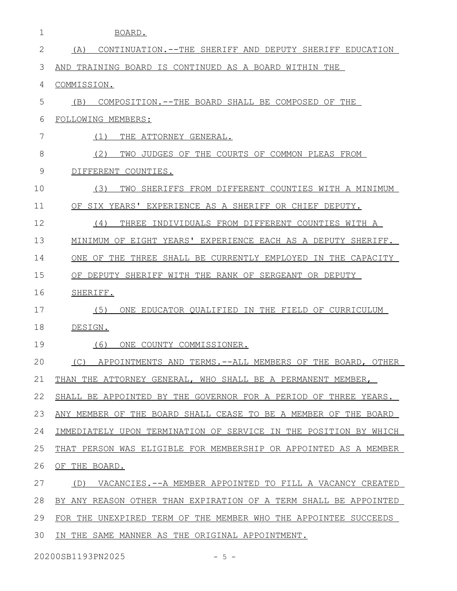| 1  | BOARD.                                                           |
|----|------------------------------------------------------------------|
| 2  | CONTINUATION.--THE SHERIFF AND DEPUTY SHERIFF EDUCATION<br>(A)   |
| 3  | TRAINING BOARD IS CONTINUED AS A BOARD WITHIN THE<br>AND         |
| 4  | COMMISSION.                                                      |
| 5  | COMPOSITION.--THE BOARD SHALL BE COMPOSED OF THE<br>(B)          |
| 6  | FOLLOWING MEMBERS:                                               |
| 7  | (1)<br>THE ATTORNEY GENERAL.                                     |
| 8  | (2)<br>TWO<br>JUDGES OF THE COURTS OF COMMON PLEAS FROM          |
| 9  | DIFFERENT COUNTIES.                                              |
| 10 | (3)<br>TWO<br>SHERIFFS FROM DIFFERENT COUNTIES WITH A MINIMUM    |
| 11 | SIX YEARS' EXPERIENCE AS A SHERIFF OR CHIEF DEPUTY.<br>OF        |
| 12 | (4)<br>THREE INDIVIDUALS FROM DIFFERENT COUNTIES WITH A          |
| 13 | MINIMUM OF EIGHT YEARS' EXPERIENCE EACH AS A DEPUTY SHERIFF.     |
| 14 | ONE OF THE THREE SHALL BE CURRENTLY EMPLOYED IN THE CAPACITY     |
| 15 | OF DEPUTY SHERIFF WITH THE RANK OF SERGEANT OR DEPUTY            |
| 16 | SHERIFF.                                                         |
| 17 | (5)<br>ONE EDUCATOR OUALIFIED IN THE FIELD OF CURRICULUM         |
| 18 | DESIGN.                                                          |
| 19 | (6)<br>ONE COUNTY COMMISSIONER.                                  |
| 20 | (C) APPOINTMENTS AND TERMS. -- ALL MEMBERS OF THE BOARD, OTHER   |
| 21 | THAN THE ATTORNEY GENERAL, WHO SHALL BE A PERMANENT MEMBER,      |
| 22 | SHALL BE APPOINTED BY THE GOVERNOR FOR A PERIOD OF THREE YEARS.  |
| 23 | ANY MEMBER OF THE BOARD SHALL CEASE TO BE A MEMBER OF THE BOARD  |
| 24 | IMMEDIATELY UPON TERMINATION OF SERVICE IN THE POSITION BY WHICH |
| 25 | THAT PERSON WAS ELIGIBLE FOR MEMBERSHIP OR APPOINTED AS A MEMBER |
| 26 | OF THE BOARD.                                                    |
| 27 | (D)<br>VACANCIES.--A MEMBER APPOINTED TO FILL A VACANCY CREATED  |
| 28 | BY ANY REASON OTHER THAN EXPIRATION OF A TERM SHALL BE APPOINTED |
| 29 | FOR THE UNEXPIRED TERM OF THE MEMBER WHO THE APPOINTEE SUCCEEDS  |
| 30 | IN THE SAME MANNER AS THE ORIGINAL APPOINTMENT.                  |

20200SB1193PN2025 - 5 -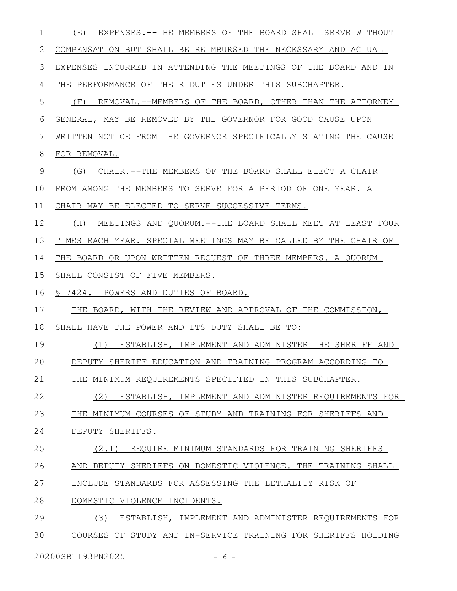| 1  | EXPENSES.--THE MEMBERS OF THE BOARD SHALL SERVE WITHOUT<br>(E)    |
|----|-------------------------------------------------------------------|
| 2  | COMPENSATION BUT SHALL BE REIMBURSED THE NECESSARY AND ACTUAL     |
| 3  | EXPENSES INCURRED IN ATTENDING THE MEETINGS OF THE BOARD AND IN   |
| 4  | THE PERFORMANCE OF THEIR DUTIES UNDER THIS SUBCHAPTER.            |
| 5  | REMOVAL.--MEMBERS OF THE BOARD, OTHER THAN THE ATTORNEY<br>(F)    |
| 6  | GENERAL, MAY BE REMOVED BY THE GOVERNOR FOR GOOD CAUSE UPON       |
| 7  | WRITTEN NOTICE FROM THE GOVERNOR SPECIFICALLY STATING THE CAUSE   |
| 8  | FOR REMOVAL.                                                      |
| 9  | CHAIR. -- THE MEMBERS OF THE BOARD SHALL ELECT A CHAIR<br>(G)     |
| 10 | FROM AMONG THE MEMBERS TO SERVE FOR A PERIOD OF ONE YEAR. A       |
| 11 | CHAIR MAY BE ELECTED TO SERVE SUCCESSIVE TERMS.                   |
| 12 | (H)<br>MEETINGS AND QUORUM. -- THE BOARD SHALL MEET AT LEAST FOUR |
| 13 | TIMES EACH YEAR. SPECIAL MEETINGS MAY BE CALLED BY THE CHAIR OF   |
| 14 | THE BOARD OR UPON WRITTEN REQUEST OF THREE MEMBERS. A QUORUM      |
| 15 | SHALL CONSIST OF FIVE MEMBERS.                                    |
| 16 | § 7424. POWERS AND DUTIES OF BOARD.                               |
| 17 | THE BOARD, WITH THE REVIEW AND APPROVAL OF THE COMMISSION,        |
| 18 | SHALL HAVE THE POWER AND ITS DUTY SHALL BE TO:                    |
| 19 | (1) ESTABLISH, IMPLEMENT AND ADMINISTER THE SHERIFF AND           |
| 20 | DEPUTY SHERIFF EDUCATION AND TRAINING PROGRAM ACCORDING TO        |
| 21 | THE MINIMUM REQUIREMENTS SPECIFIED IN THIS SUBCHAPTER.            |
| 22 | (2)<br>ESTABLISH, IMPLEMENT AND ADMINISTER REQUIREMENTS FOR       |
| 23 | THE MINIMUM COURSES OF STUDY AND TRAINING FOR SHERIFFS AND        |
| 24 | DEPUTY SHERIFFS.                                                  |
| 25 | (2.1) REQUIRE MINIMUM STANDARDS FOR TRAINING SHERIFFS             |
| 26 | AND DEPUTY SHERIFFS ON DOMESTIC VIOLENCE. THE TRAINING SHALL      |
| 27 | INCLUDE STANDARDS FOR ASSESSING THE LETHALITY RISK OF             |
| 28 | DOMESTIC VIOLENCE INCIDENTS.                                      |
| 29 | (3)<br>ESTABLISH, IMPLEMENT AND ADMINISTER REQUIREMENTS FOR       |
| 30 | COURSES OF STUDY AND IN-SERVICE TRAINING FOR SHERIFFS HOLDING     |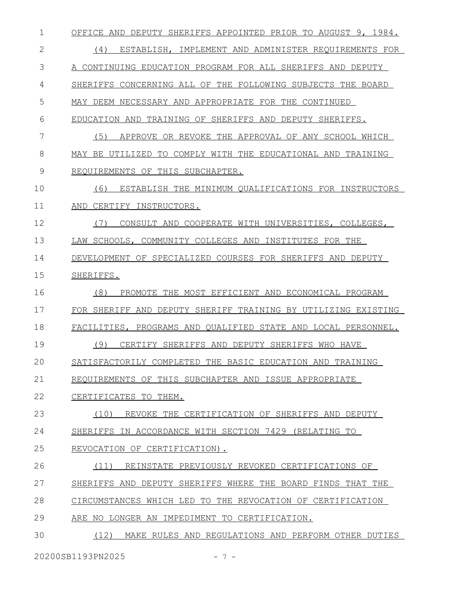| 1  | OFFICE AND DEPUTY SHERIFFS APPOINTED PRIOR TO AUGUST 9, 1984.  |
|----|----------------------------------------------------------------|
| 2  | (4)<br>ESTABLISH, IMPLEMENT AND ADMINISTER REQUIREMENTS FOR    |
| 3  | A CONTINUING EDUCATION PROGRAM FOR ALL SHERIFFS AND DEPUTY     |
| 4  | SHERIFFS CONCERNING ALL OF THE FOLLOWING SUBJECTS THE<br>BOARD |
| 5  | MAY DEEM NECESSARY AND APPROPRIATE FOR THE CONTINUED           |
| 6  | TRAINING OF SHERIFFS AND<br>DEPUTY SHERIFFS.<br>EDUCATION AND  |
| 7  | (5)<br>APPROVE OR REVOKE THE APPROVAL OF ANY SCHOOL WHICH      |
| 8  | MAY BE UTILIZED<br>TO COMPLY WITH THE EDUCATIONAL AND TRAINING |
| 9  | REQUIREMENTS OF THIS SUBCHAPTER.                               |
| 10 | (6)<br>ESTABLISH THE MINIMUM QUALIFICATIONS FOR INSTRUCTORS    |
| 11 | CERTIFY INSTRUCTORS.<br>AND                                    |
| 12 | (7)<br>CONSULT AND COOPERATE WITH UNIVERSITIES, COLLEGES,      |
| 13 | LAW SCHOOLS, COMMUNITY COLLEGES AND INSTITUTES FOR THE         |
| 14 | DEVELOPMENT OF SPECIALIZED COURSES FOR SHERIFFS AND DEPUTY     |
| 15 | SHERIFFS.                                                      |
| 16 | (8)<br>PROMOTE THE MOST EFFICIENT AND ECONOMICAL PROGRAM       |
| 17 | FOR SHERIFF AND DEPUTY SHERIFF TRAINING BY UTILIZING EXISTING  |
| 18 | FACILITIES, PROGRAMS AND QUALIFIED STATE AND LOCAL PERSONNEL.  |
| 19 | (9)<br>CERTIFY SHERIFFS AND DEPUTY SHERIFFS WHO HAVE           |
| 20 | SATISFACTORILY COMPLETED THE BASIC EDUCATION AND TRAINING      |
| 21 | REOUIREMENTS OF THIS SUBCHAPTER AND ISSUE APPROPRIATE          |
| 22 | CERTIFICATES TO THEM.                                          |
| 23 | (10) REVOKE THE CERTIFICATION OF SHERIFFS AND DEPUTY           |
| 24 | SHERIFFS IN ACCORDANCE WITH SECTION 7429 (RELATING TO          |
| 25 | REVOCATION OF CERTIFICATION).                                  |
| 26 | (11)<br>REINSTATE PREVIOUSLY REVOKED CERTIFICATIONS OF         |
| 27 | SHERIFFS AND DEPUTY SHERIFFS WHERE THE BOARD FINDS THAT THE    |
| 28 | CIRCUMSTANCES WHICH LED TO THE REVOCATION OF CERTIFICATION     |
| 29 | ARE NO LONGER AN IMPEDIMENT TO CERTIFICATION.                  |
| 30 | (12)<br>MAKE RULES AND REGULATIONS AND PERFORM OTHER DUTIES    |
|    | 20200SB1193PN2025<br>$-7-$                                     |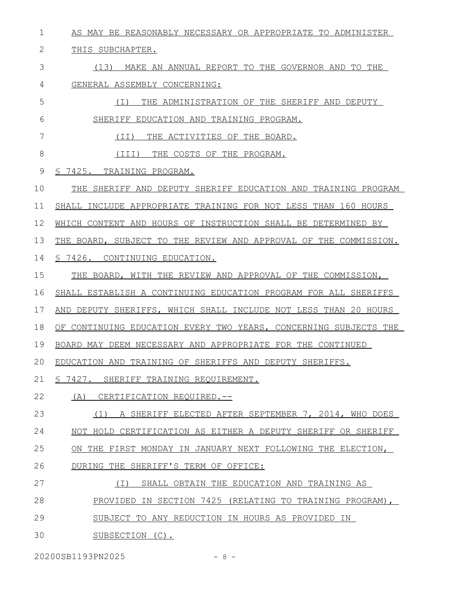AS MAY BE REASONABLY NECESSARY OR APPROPRIATE TO ADMINISTER 1

THIS SUBCHAPTER. 2

7

(13) MAKE AN ANNUAL REPORT TO THE GOVERNOR AND TO THE GENERAL ASSEMBLY CONCERNING: 3 4

(I) THE ADMINISTRATION OF THE SHERIFF AND DEPUTY SHERIFF EDUCATION AND TRAINING PROGRAM. 5 6

(II) THE ACTIVITIES OF THE BOARD.

(III) THE COSTS OF THE PROGRAM. 8

§ 7425. TRAINING PROGRAM. 9

THE SHERIFF AND DEPUTY SHERIFF EDUCATION AND TRAINING PROGRAM 10

SHALL INCLUDE APPROPRIATE TRAINING FOR NOT LESS THAN 160 HOURS 11

WHICH CONTENT AND HOURS OF INSTRUCTION SHALL BE DETERMINED BY 12

THE BOARD, SUBJECT TO THE REVIEW AND APPROVAL OF THE COMMISSION. 13

§ 7426. CONTINUING EDUCATION. 14

THE BOARD, WITH THE REVIEW AND APPROVAL OF THE COMMISSION, 15

SHALL ESTABLISH A CONTINUING EDUCATION PROGRAM FOR ALL SHERIFFS 16

AND DEPUTY SHERIFFS, WHICH SHALL INCLUDE NOT LESS THAN 20 HOURS 17

OF CONTINUING EDUCATION EVERY TWO YEARS, CONCERNING SUBJECTS THE 18

BOARD MAY DEEM NECESSARY AND APPROPRIATE FOR THE CONTINUED 19

EDUCATION AND TRAINING OF SHERIFFS AND DEPUTY SHERIFFS. 20

§ 7427. SHERIFF TRAINING REQUIREMENT. 21

(A) CERTIFICATION REQUIRED.-- 22

(1) A SHERIFF ELECTED AFTER SEPTEMBER 7, 2014, WHO DOES NOT HOLD CERTIFICATION AS EITHER A DEPUTY SHERIFF OR SHERIFF ON THE FIRST MONDAY IN JANUARY NEXT FOLLOWING THE ELECTION, 23 24 25

DURING THE SHERIFF'S TERM OF OFFICE: 26

- (I) SHALL OBTAIN THE EDUCATION AND TRAINING AS PROVIDED IN SECTION 7425 (RELATING TO TRAINING PROGRAM), SUBJECT TO ANY REDUCTION IN HOURS AS PROVIDED IN 27 28 29
- SUBSECTION (C). 30

20200SB1193PN2025 - 8 -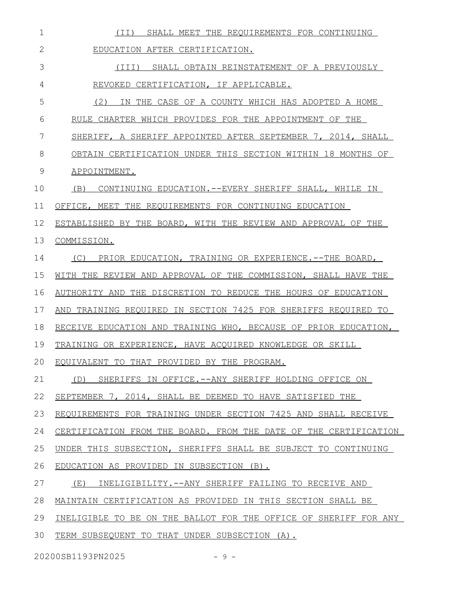| 1            | SHALL MEET THE REQUIREMENTS FOR CONTINUING<br>(II)               |
|--------------|------------------------------------------------------------------|
| $\mathbf{2}$ | EDUCATION AFTER CERTIFICATION.                                   |
| 3            | (III)<br>SHALL OBTAIN REINSTATEMENT OF A PREVIOUSLY              |
| 4            | REVOKED CERTIFICATION, IF APPLICABLE.                            |
| 5            | (2)<br>THE CASE OF A COUNTY WHICH HAS ADOPTED A HOME<br>ΙN.      |
| 6            | RULE CHARTER WHICH PROVIDES FOR THE APPOINTMENT OF THE           |
| 7            | SHERIFF, A SHERIFF APPOINTED AFTER SEPTEMBER 7, 2014, SHALL      |
| 8            | OBTAIN CERTIFICATION UNDER THIS SECTION WITHIN 18 MONTHS OF      |
| 9            | APPOINTMENT.                                                     |
| 10           | (B)<br>CONTINUING EDUCATION. -- EVERY SHERIFF SHALL, WHILE IN    |
| 11           | OFFICE, MEET THE REQUIREMENTS FOR CONTINUING EDUCATION           |
| 12           | ESTABLISHED BY THE BOARD, WITH THE REVIEW AND APPROVAL OF THE    |
| 13           | COMMISSION.                                                      |
| 14           | (C)<br>PRIOR EDUCATION, TRAINING OR EXPERIENCE.--THE BOARD,      |
| 15           | WITH THE REVIEW AND APPROVAL OF THE COMMISSION, SHALL HAVE THE   |
| 16           | AUTHORITY AND THE DISCRETION TO REDUCE THE HOURS OF EDUCATION    |
| 17           | AND TRAINING REQUIRED IN SECTION 7425 FOR SHERIFFS REQUIRED TO   |
| 18           | RECEIVE EDUCATION AND TRAINING WHO, BECAUSE OF PRIOR EDUCATION,  |
| 19           | TRAINING OR EXPERIENCE, HAVE ACQUIRED KNOWLEDGE OR SKILL         |
| 20           | EQUIVALENT TO THAT PROVIDED BY THE PROGRAM.                      |
| 21           | (D) SHERIFFS IN OFFICE.--ANY SHERIFF HOLDING OFFICE ON           |
| 22           | SEPTEMBER 7, 2014, SHALL BE DEEMED TO HAVE SATISFIED THE         |
| 23           | REQUIREMENTS FOR TRAINING UNDER SECTION 7425 AND SHALL RECEIVE   |
| 24           | CERTIFICATION FROM THE BOARD. FROM THE DATE OF THE CERTIFICATION |
| 25           | UNDER THIS SUBSECTION, SHERIFFS SHALL BE SUBJECT TO CONTINUING   |
| 26           | EDUCATION AS PROVIDED IN SUBSECTION (B).                         |
| 27           | (E)<br>INELIGIBILITY.--ANY SHERIFF FAILING TO RECEIVE AND        |
| 28           | MAINTAIN CERTIFICATION AS PROVIDED IN THIS SECTION SHALL BE      |
| 29           | INELIGIBLE TO BE ON THE BALLOT FOR THE OFFICE OF SHERIFF FOR ANY |
| 30           | TERM SUBSEQUENT TO THAT UNDER SUBSECTION (A).                    |

20200SB1193PN2025 - 9 -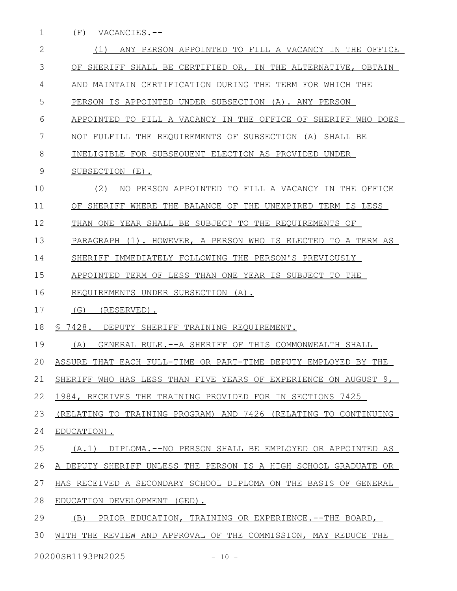1 (F) VACANCIES.--

| $\mathbf{2}$ | ANY PERSON APPOINTED TO FILL A VACANCY IN THE OFFICE<br>(1)     |
|--------------|-----------------------------------------------------------------|
| 3            | OF SHERIFF SHALL BE CERTIFIED OR, IN THE ALTERNATIVE, OBTAIN    |
| 4            | AND MAINTAIN CERTIFICATION DURING THE TERM FOR WHICH THE        |
| 5            | PERSON IS APPOINTED UNDER SUBSECTION (A). ANY PERSON            |
| 6            | APPOINTED TO FILL A VACANCY IN THE OFFICE OF SHERIFF WHO DOES   |
| 7            | NOT FULFILL THE REQUIREMENTS OF SUBSECTION (A) SHALL BE         |
| 8            | INELIGIBLE FOR SUBSEQUENT ELECTION AS PROVIDED UNDER            |
| 9            | SUBSECTION (E).                                                 |
| 10           | (2)<br>PERSON APPOINTED TO FILL A VACANCY IN THE OFFICE<br>NO.  |
| 11           | OF SHERIFF WHERE THE BALANCE OF THE UNEXPIRED TERM IS LESS      |
| 12           | THAN ONE YEAR SHALL BE SUBJECT TO THE REQUIREMENTS OF           |
| 13           | PARAGRAPH (1). HOWEVER, A PERSON WHO IS ELECTED TO A TERM AS    |
| 14           | IMMEDIATELY FOLLOWING THE PERSON'S PREVIOUSLY<br>SHERIFF        |
| 15           | APPOINTED TERM OF LESS THAN ONE YEAR IS SUBJECT TO THE          |
| 16           | REQUIREMENTS UNDER SUBSECTION (A).                              |
| 17           | (G)<br>(RESERVED).                                              |
| 18           | \$7428.<br>DEPUTY SHERIFF TRAINING REQUIREMENT.                 |
| 19           | (A)<br>GENERAL RULE.--A SHERIFF OF THIS COMMONWEALTH SHALL      |
| 20           | ASSURE THAT EACH FULL-TIME OR PART-TIME DEPUTY EMPLOYED BY THE  |
| 21           | SHERIFF WHO HAS LESS THAN FIVE YEARS OF EXPERIENCE ON AUGUST 9, |
| 22           | 1984, RECEIVES THE TRAINING PROVIDED FOR IN SECTIONS 7425       |
| 23           | (RELATING TO TRAINING PROGRAM) AND 7426 (RELATING TO CONTINUING |
| 24           | EDUCATION).                                                     |
| 25           | DIPLOMA.--NO PERSON SHALL BE EMPLOYED OR APPOINTED AS<br>(A, 1) |
| 26           | A DEPUTY SHERIFF UNLESS THE PERSON IS A HIGH SCHOOL GRADUATE OR |
| 27           | HAS RECEIVED A SECONDARY SCHOOL DIPLOMA ON THE BASIS OF GENERAL |
| 28           | EDUCATION DEVELOPMENT (GED).                                    |
| 29           | PRIOR EDUCATION, TRAINING OR EXPERIENCE. -- THE BOARD,<br>(B)   |
| 30           | WITH THE REVIEW AND APPROVAL OF THE COMMISSION, MAY REDUCE THE  |
|              | 20200SB1193PN2025<br>$-10 -$                                    |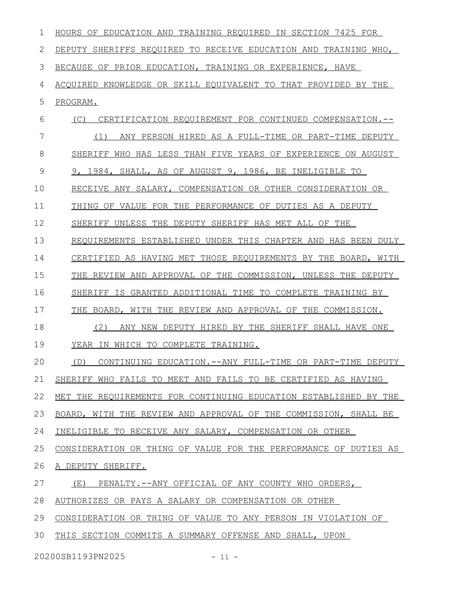| 1  | HOURS OF EDUCATION AND TRAINING REQUIRED IN SECTION 7425 FOR      |
|----|-------------------------------------------------------------------|
| 2  | DEPUTY SHERIFFS REQUIRED TO RECEIVE EDUCATION AND TRAINING WHO,   |
| 3  | BECAUSE OF PRIOR EDUCATION, TRAINING OR EXPERIENCE, HAVE          |
| 4  | ACQUIRED KNOWLEDGE OR SKILL EQUIVALENT TO THAT PROVIDED BY THE    |
| 5  | PROGRAM.                                                          |
| 6  | (C)<br>CERTIFICATION REQUIREMENT FOR CONTINUED COMPENSATION.--    |
| 7  | ANY PERSON HIRED AS A FULL-TIME OR PART-TIME DEPUTY<br>(1)        |
| 8  | SHERIFF WHO HAS LESS THAN FIVE YEARS OF EXPERIENCE ON AUGUST      |
| 9  | 9, 1984, SHALL, AS OF AUGUST 9, 1986, BE INELIGIBLE TO            |
| 10 | RECEIVE ANY SALARY, COMPENSATION OR OTHER CONSIDERATION OR        |
| 11 | THING OF VALUE FOR THE PERFORMANCE OF DUTIES AS A DEPUTY          |
| 12 | SHERIFF UNLESS THE DEPUTY SHERIFF HAS MET ALL OF THE              |
| 13 | REOUIREMENTS ESTABLISHED UNDER THIS CHAPTER AND HAS BEEN DULY     |
| 14 | CERTIFIED AS HAVING MET THOSE REQUIREMENTS BY THE BOARD, WITH     |
| 15 | THE REVIEW AND APPROVAL OF THE COMMISSION, UNLESS THE DEPUTY      |
| 16 | SHERIFF<br>IS<br>GRANTED ADDITIONAL TIME TO COMPLETE TRAINING BY  |
| 17 | THE<br>BOARD, WITH THE REVIEW AND APPROVAL OF THE COMMISSION.     |
| 18 | (2)<br>DEPUTY HIRED BY THE SHERIFF SHALL HAVE ONE<br>ANY NEW      |
| 19 | YEAR IN WHICH TO COMPLETE TRAINING.                               |
| 20 | (D)<br>CONTINUING EDUCATION. -- ANY FULL-TIME OR PART-TIME DEPUTY |
| 21 | SHERIFF WHO FAILS TO MEET AND FAILS TO BE CERTIFIED AS HAVING     |
| 22 | MET THE REQUIREMENTS FOR CONTINUING EDUCATION ESTABLISHED BY THE  |
| 23 | BOARD, WITH THE REVIEW AND APPROVAL OF THE COMMISSION, SHALL BE   |
| 24 | INELIGIBLE TO RECEIVE ANY SALARY, COMPENSATION OR OTHER           |
| 25 | CONSIDERATION OR THING OF VALUE FOR THE PERFORMANCE OF DUTIES AS  |
| 26 | A DEPUTY SHERIFF.                                                 |
| 27 | (E)<br>PENALTY.--ANY OFFICIAL OF ANY COUNTY WHO ORDERS,           |
| 28 | AUTHORIZES OR PAYS A SALARY OR COMPENSATION OR OTHER              |
| 29 | CONSIDERATION OR THING OF VALUE TO ANY PERSON IN VIOLATION OF     |
| 30 | THIS SECTION COMMITS A SUMMARY OFFENSE AND SHALL, UPON            |

20200SB1193PN2025 - 11 -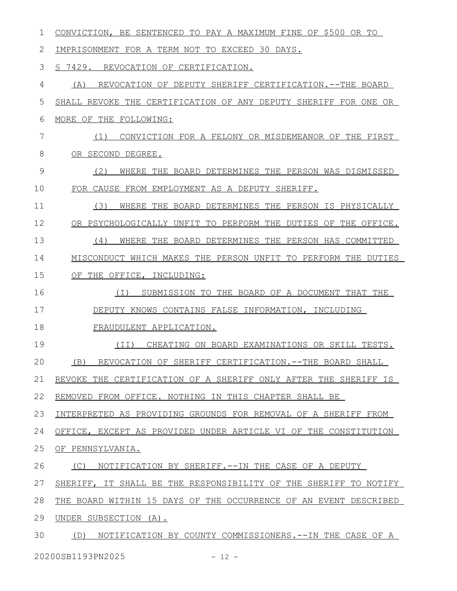| 1  | CONVICTION, BE SENTENCED TO PAY A MAXIMUM FINE OF \$500 OR TO    |
|----|------------------------------------------------------------------|
| 2  | IMPRISONMENT FOR A TERM NOT TO EXCEED 30 DAYS.                   |
| 3  | S 7429.<br>REVOCATION OF CERTIFICATION.                          |
| 4  | REVOCATION OF DEPUTY SHERIFF CERTIFICATION.--THE BOARD<br>(A)    |
| 5  | SHALL REVOKE THE CERTIFICATION OF ANY DEPUTY SHERIFF FOR ONE OR  |
| 6  | MORE OF THE FOLLOWING:                                           |
| 7  | (1)<br>CONVICTION FOR A FELONY OR MISDEMEANOR OF THE FIRST       |
| 8  | OR SECOND DEGREE.                                                |
| 9  | (2)<br>WHERE THE BOARD DETERMINES THE PERSON WAS DISMISSED       |
| 10 | FOR CAUSE FROM EMPLOYMENT AS A DEPUTY SHERIFF.                   |
| 11 | (3)<br>WHERE THE BOARD DETERMINES THE PERSON IS PHYSICALLY       |
| 12 | OR PSYCHOLOGICALLY UNFIT TO PERFORM THE DUTIES OF THE OFFICE.    |
| 13 | (4)<br>WHERE THE BOARD DETERMINES THE PERSON HAS COMMITTED       |
| 14 | MISCONDUCT WHICH MAKES THE PERSON UNFIT TO PERFORM THE DUTIES    |
| 15 | OF THE OFFICE, INCLUDING:                                        |
| 16 | SUBMISSION TO THE BOARD OF A DOCUMENT THAT THE<br>( I )          |
| 17 | DEPUTY KNOWS CONTAINS FALSE INFORMATION, INCLUDING               |
| 18 | FRAUDULENT APPLICATION.                                          |
| 19 | CHEATING ON BOARD EXAMINATIONS OR SKILL TESTS.<br>(TT)           |
| 20 | REVOCATION OF SHERIFF CERTIFICATION. -- THE BOARD SHALL<br>(B)   |
| 21 | REVOKE THE CERTIFICATION OF A SHERIFF ONLY AFTER THE SHERIFF IS  |
| 22 | REMOVED FROM OFFICE. NOTHING IN THIS CHAPTER SHALL BE            |
| 23 | INTERPRETED AS PROVIDING GROUNDS FOR REMOVAL OF A SHERIFF FROM   |
| 24 | OFFICE, EXCEPT AS PROVIDED UNDER ARTICLE VI OF THE CONSTITUTION  |
| 25 | OF PENNSYLVANIA.                                                 |
| 26 | NOTIFICATION BY SHERIFF. -- IN THE CASE OF A DEPUTY<br>(C)       |
| 27 | SHERIFF, IT SHALL BE THE RESPONSIBILITY OF THE SHERIFF TO NOTIFY |
| 28 | THE BOARD WITHIN 15 DAYS OF THE OCCURRENCE OF AN EVENT DESCRIBED |
| 29 | UNDER SUBSECTION (A).                                            |
| 30 | (D) NOTIFICATION BY COUNTY COMMISSIONERS.--IN THE CASE OF A      |

20200SB1193PN2025 - 12 -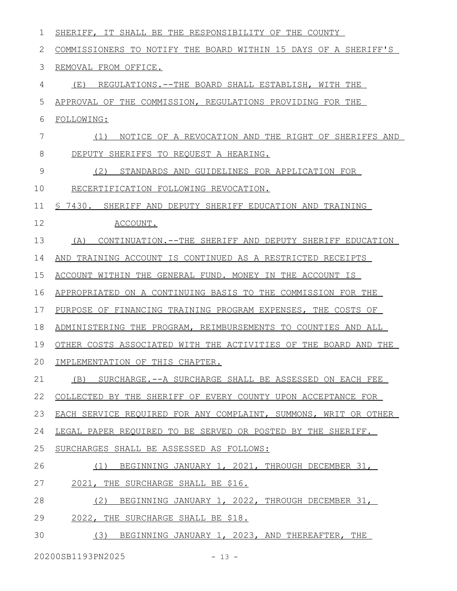| ı  | SHERIFF, IT SHALL BE THE RESPONSIBILITY OF THE COUNTY           |
|----|-----------------------------------------------------------------|
| 2  | COMMISSIONERS TO NOTIFY THE BOARD WITHIN 15 DAYS OF A SHERIFF'S |
| 3  | REMOVAL FROM OFFICE.                                            |
| 4  | (E)<br>REGULATIONS.--THE BOARD SHALL ESTABLISH, WITH THE        |
| 5  | APPROVAL OF THE COMMISSION, REGULATIONS PROVIDING FOR THE       |
| 6  | FOLLOWING:                                                      |
| 7  | NOTICE OF A REVOCATION AND THE RIGHT OF SHERIFFS AND<br>(1)     |
| 8  | DEPUTY SHERIFFS TO REQUEST A HEARING.                           |
| 9  | (2)<br>STANDARDS AND GUIDELINES FOR APPLICATION FOR             |
| 10 | RECERTIFICATION FOLLOWING REVOCATION.                           |
| 11 | \$ 7430. SHERIFF AND DEPUTY SHERIFF EDUCATION AND TRAINING      |
| 12 | ACCOUNT.                                                        |
| 13 | CONTINUATION.--THE SHERIFF AND DEPUTY SHERIFF EDUCATION<br>(A)  |
| 14 | AND TRAINING ACCOUNT IS CONTINUED AS A RESTRICTED RECEIPTS      |
| 15 | ACCOUNT WITHIN THE GENERAL FUND. MONEY IN THE ACCOUNT IS        |
| 16 | APPROPRIATED ON A CONTINUING BASIS TO THE COMMISSION FOR THE    |
| 17 | PURPOSE OF FINANCING TRAINING PROGRAM EXPENSES, THE COSTS OF    |
| 18 | ADMINISTERING THE PROGRAM, REIMBURSEMENTS TO COUNTIES AND ALL   |
| 19 | OTHER COSTS ASSOCIATED WITH THE ACTIVITIES OF THE BOARD AND THE |
| 20 | IMPLEMENTATION OF THIS CHAPTER.                                 |
| 21 | (B) SURCHARGE.--A SURCHARGE SHALL BE ASSESSED ON EACH FEE       |
| 22 | COLLECTED BY THE SHERIFF OF EVERY COUNTY UPON ACCEPTANCE FOR    |
| 23 | EACH SERVICE REQUIRED FOR ANY COMPLAINT, SUMMONS, WRIT OR OTHER |
| 24 | LEGAL PAPER REQUIRED TO BE SERVED OR POSTED BY THE SHERIFF.     |
| 25 | SURCHARGES SHALL BE ASSESSED AS FOLLOWS:                        |
| 26 | BEGINNING JANUARY 1, 2021, THROUGH DECEMBER 31,<br>(1)          |
| 27 | 2021, THE SURCHARGE SHALL BE \$16.                              |
| 28 | (2)<br>BEGINNING JANUARY 1, 2022, THROUGH DECEMBER 31,          |
| 29 | 2022, THE SURCHARGE SHALL BE \$18.                              |
| 30 | (3) BEGINNING JANUARY 1, 2023, AND THEREAFTER, THE              |
|    |                                                                 |

20200SB1193PN2025 - 13 -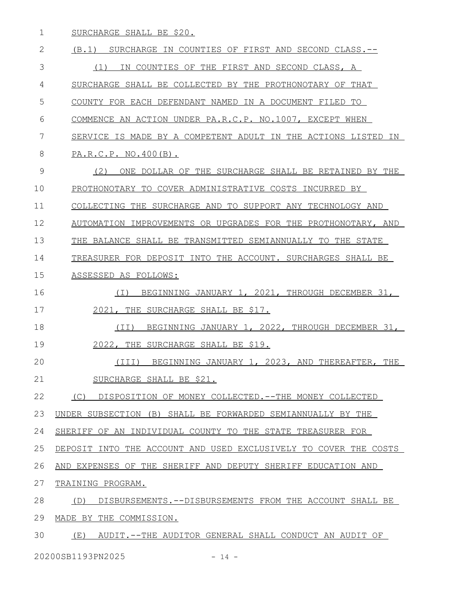SURCHARGE SHALL BE \$20. 1

(B.1) SURCHARGE IN COUNTIES OF FIRST AND SECOND CLASS.-- (1) IN COUNTIES OF THE FIRST AND SECOND CLASS, A SURCHARGE SHALL BE COLLECTED BY THE PROTHONOTARY OF THAT COUNTY FOR EACH DEFENDANT NAMED IN A DOCUMENT FILED TO COMMENCE AN ACTION UNDER PA.R.C.P. NO.1007, EXCEPT WHEN SERVICE IS MADE BY A COMPETENT ADULT IN THE ACTIONS LISTED IN PA.R.C.P. NO.400(B). (2) ONE DOLLAR OF THE SURCHARGE SHALL BE RETAINED BY THE PROTHONOTARY TO COVER ADMINISTRATIVE COSTS INCURRED BY COLLECTING THE SURCHARGE AND TO SUPPORT ANY TECHNOLOGY AND AUTOMATION IMPROVEMENTS OR UPGRADES FOR THE PROTHONOTARY, AND THE BALANCE SHALL BE TRANSMITTED SEMIANNUALLY TO THE STATE TREASURER FOR DEPOSIT INTO THE ACCOUNT. SURCHARGES SHALL BE ASSESSED AS FOLLOWS: (I) BEGINNING JANUARY 1, 2021, THROUGH DECEMBER 31, 2021, THE SURCHARGE SHALL BE \$17. (II) BEGINNING JANUARY 1, 2022, THROUGH DECEMBER 31, 2022, THE SURCHARGE SHALL BE \$19. (III) BEGINNING JANUARY 1, 2023, AND THEREAFTER, THE SURCHARGE SHALL BE \$21. (C) DISPOSITION OF MONEY COLLECTED.--THE MONEY COLLECTED UNDER SUBSECTION (B) SHALL BE FORWARDED SEMIANNUALLY BY THE SHERIFF OF AN INDIVIDUAL COUNTY TO THE STATE TREASURER FOR DEPOSIT INTO THE ACCOUNT AND USED EXCLUSIVELY TO COVER THE COSTS AND EXPENSES OF THE SHERIFF AND DEPUTY SHERIFF EDUCATION AND TRAINING PROGRAM. (D) DISBURSEMENTS.--DISBURSEMENTS FROM THE ACCOUNT SHALL BE MADE BY THE COMMISSION. (E) AUDIT.--THE AUDITOR GENERAL SHALL CONDUCT AN AUDIT OF 2 3 4 5 6 7 8 9 10 11 12 13 14 15 16 17 18 19 20 21 22 23 24 25 26 27 28 29 30

20200SB1193PN2025 - 14 -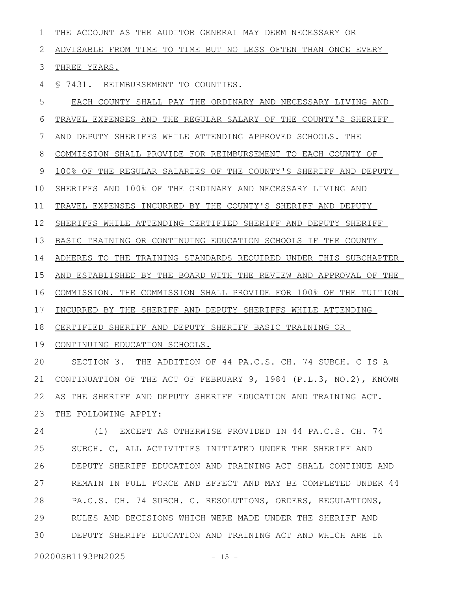THE ACCOUNT AS THE AUDITOR GENERAL MAY DEEM NECESSARY OR ADVISABLE FROM TIME TO TIME BUT NO LESS OFTEN THAN ONCE EVERY THREE YEARS. § 7431. REIMBURSEMENT TO COUNTIES. EACH COUNTY SHALL PAY THE ORDINARY AND NECESSARY LIVING AND TRAVEL EXPENSES AND THE REGULAR SALARY OF THE COUNTY'S SHERIFF AND DEPUTY SHERIFFS WHILE ATTENDING APPROVED SCHOOLS. THE COMMISSION SHALL PROVIDE FOR REIMBURSEMENT TO EACH COUNTY OF 100% OF THE REGULAR SALARIES OF THE COUNTY'S SHERIFF AND DEPUTY SHERIFFS AND 100% OF THE ORDINARY AND NECESSARY LIVING AND TRAVEL EXPENSES INCURRED BY THE COUNTY'S SHERIFF AND DEPUTY SHERIFFS WHILE ATTENDING CERTIFIED SHERIFF AND DEPUTY SHERIFF BASIC TRAINING OR CONTINUING EDUCATION SCHOOLS IF THE COUNTY ADHERES TO THE TRAINING STANDARDS REQUIRED UNDER THIS SUBCHAPTER AND ESTABLISHED BY THE BOARD WITH THE REVIEW AND APPROVAL OF THE COMMISSION. THE COMMISSION SHALL PROVIDE FOR 100% OF THE TUITION INCURRED BY THE SHERIFF AND DEPUTY SHERIFFS WHILE ATTENDING CERTIFIED SHERIFF AND DEPUTY SHERIFF BASIC TRAINING OR 19 CONTINUING EDUCATION SCHOOLS. SECTION 3. THE ADDITION OF 44 PA.C.S. CH. 74 SUBCH. C IS A CONTINUATION OF THE ACT OF FEBRUARY 9, 1984 (P.L.3, NO.2), KNOWN AS THE SHERIFF AND DEPUTY SHERIFF EDUCATION AND TRAINING ACT. THE FOLLOWING APPLY: (1) EXCEPT AS OTHERWISE PROVIDED IN 44 PA.C.S. CH. 74 SUBCH. C, ALL ACTIVITIES INITIATED UNDER THE SHERIFF AND DEPUTY SHERIFF EDUCATION AND TRAINING ACT SHALL CONTINUE AND REMAIN IN FULL FORCE AND EFFECT AND MAY BE COMPLETED UNDER 44 PA.C.S. CH. 74 SUBCH. C. RESOLUTIONS, ORDERS, REGULATIONS, RULES AND DECISIONS WHICH WERE MADE UNDER THE SHERIFF AND 1 2 3 4 5 6 7 8 9 10 11 12 13 14 15 16 17 18 20 21 22 23 24 25 26 27 28 29

DEPUTY SHERIFF EDUCATION AND TRAINING ACT AND WHICH ARE IN 30

20200SB1193PN2025 - 15 -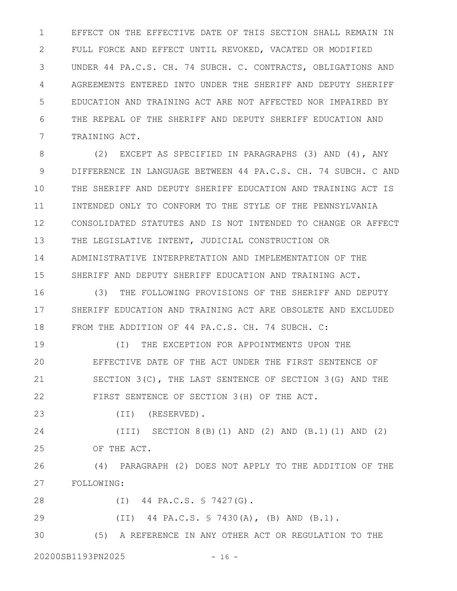EFFECT ON THE EFFECTIVE DATE OF THIS SECTION SHALL REMAIN IN FULL FORCE AND EFFECT UNTIL REVOKED, VACATED OR MODIFIED UNDER 44 PA.C.S. CH. 74 SUBCH. C. CONTRACTS, OBLIGATIONS AND AGREEMENTS ENTERED INTO UNDER THE SHERIFF AND DEPUTY SHERIFF EDUCATION AND TRAINING ACT ARE NOT AFFECTED NOR IMPAIRED BY THE REPEAL OF THE SHERIFF AND DEPUTY SHERIFF EDUCATION AND TRAINING ACT. 1 2 3 4 5 6 7

(2) EXCEPT AS SPECIFIED IN PARAGRAPHS (3) AND (4), ANY DIFFERENCE IN LANGUAGE BETWEEN 44 PA.C.S. CH. 74 SUBCH. C AND THE SHERIFF AND DEPUTY SHERIFF EDUCATION AND TRAINING ACT IS INTENDED ONLY TO CONFORM TO THE STYLE OF THE PENNSYLVANIA CONSOLIDATED STATUTES AND IS NOT INTENDED TO CHANGE OR AFFECT THE LEGISLATIVE INTENT, JUDICIAL CONSTRUCTION OR ADMINISTRATIVE INTERPRETATION AND IMPLEMENTATION OF THE SHERIFF AND DEPUTY SHERIFF EDUCATION AND TRAINING ACT. 8 9 10 11 12 13 14 15

(3) THE FOLLOWING PROVISIONS OF THE SHERIFF AND DEPUTY SHERIFF EDUCATION AND TRAINING ACT ARE OBSOLETE AND EXCLUDED FROM THE ADDITION OF 44 PA.C.S. CH. 74 SUBCH. C: 16 17 18

(I) THE EXCEPTION FOR APPOINTMENTS UPON THE EFFECTIVE DATE OF THE ACT UNDER THE FIRST SENTENCE OF SECTION 3(C), THE LAST SENTENCE OF SECTION 3(G) AND THE FIRST SENTENCE OF SECTION 3(H) OF THE ACT. 19 20 21 22

(II) (RESERVED). 23

(III) SECTION 8(B)(1) AND (2) AND (B.1)(1) AND (2) OF THE ACT. 24 25

(4) PARAGRAPH (2) DOES NOT APPLY TO THE ADDITION OF THE FOLLOWING: 26 27

(I) 44 PA.C.S. § 7427(G). 28

(II) 44 PA.C.S. § 7430(A), (B) AND (B.1). 29

(5) A REFERENCE IN ANY OTHER ACT OR REGULATION TO THE 30

20200SB1193PN2025 - 16 -